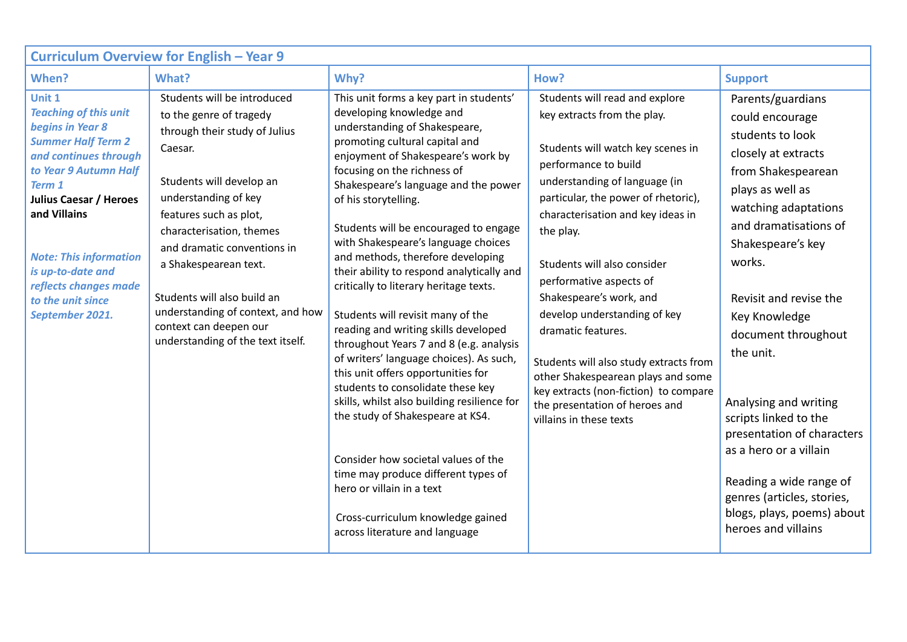| Curriculum Overview for English - Year 9                                                                                                                                                                                                                                                                                    |                                                                                                                                                                                                                                                                                                                                                                                                         |                                                                                                                                                                                                                                                                                                                                                                                                                                                                                                                                                                                                                                                                                                                                                                                                                                                                                                                                                                                                            |                                                                                                                                                                                                                                                                                                                                                                                                                                                                                                                                                                                       |                                                                                                                                                                                                                                                                                                                                                                                                                                                                                                                  |  |  |  |  |
|-----------------------------------------------------------------------------------------------------------------------------------------------------------------------------------------------------------------------------------------------------------------------------------------------------------------------------|---------------------------------------------------------------------------------------------------------------------------------------------------------------------------------------------------------------------------------------------------------------------------------------------------------------------------------------------------------------------------------------------------------|------------------------------------------------------------------------------------------------------------------------------------------------------------------------------------------------------------------------------------------------------------------------------------------------------------------------------------------------------------------------------------------------------------------------------------------------------------------------------------------------------------------------------------------------------------------------------------------------------------------------------------------------------------------------------------------------------------------------------------------------------------------------------------------------------------------------------------------------------------------------------------------------------------------------------------------------------------------------------------------------------------|---------------------------------------------------------------------------------------------------------------------------------------------------------------------------------------------------------------------------------------------------------------------------------------------------------------------------------------------------------------------------------------------------------------------------------------------------------------------------------------------------------------------------------------------------------------------------------------|------------------------------------------------------------------------------------------------------------------------------------------------------------------------------------------------------------------------------------------------------------------------------------------------------------------------------------------------------------------------------------------------------------------------------------------------------------------------------------------------------------------|--|--|--|--|
| When?                                                                                                                                                                                                                                                                                                                       | What?                                                                                                                                                                                                                                                                                                                                                                                                   | Why?                                                                                                                                                                                                                                                                                                                                                                                                                                                                                                                                                                                                                                                                                                                                                                                                                                                                                                                                                                                                       | How?                                                                                                                                                                                                                                                                                                                                                                                                                                                                                                                                                                                  | <b>Support</b>                                                                                                                                                                                                                                                                                                                                                                                                                                                                                                   |  |  |  |  |
| Unit 1<br><b>Teaching of this unit</b><br>begins in Year 8<br><b>Summer Half Term 2</b><br>and continues through<br>to Year 9 Autumn Half<br>Term 1<br><b>Julius Caesar / Heroes</b><br>and Villains<br><b>Note: This information</b><br>is up-to-date and<br>reflects changes made<br>to the unit since<br>September 2021. | Students will be introduced<br>to the genre of tragedy<br>through their study of Julius<br>Caesar.<br>Students will develop an<br>understanding of key<br>features such as plot,<br>characterisation, themes<br>and dramatic conventions in<br>a Shakespearean text.<br>Students will also build an<br>understanding of context, and how<br>context can deepen our<br>understanding of the text itself. | This unit forms a key part in students'<br>developing knowledge and<br>understanding of Shakespeare,<br>promoting cultural capital and<br>enjoyment of Shakespeare's work by<br>focusing on the richness of<br>Shakespeare's language and the power<br>of his storytelling.<br>Students will be encouraged to engage<br>with Shakespeare's language choices<br>and methods, therefore developing<br>their ability to respond analytically and<br>critically to literary heritage texts.<br>Students will revisit many of the<br>reading and writing skills developed<br>throughout Years 7 and 8 (e.g. analysis<br>of writers' language choices). As such,<br>this unit offers opportunities for<br>students to consolidate these key<br>skills, whilst also building resilience for<br>the study of Shakespeare at KS4.<br>Consider how societal values of the<br>time may produce different types of<br>hero or villain in a text<br>Cross-curriculum knowledge gained<br>across literature and language | Students will read and explore<br>key extracts from the play.<br>Students will watch key scenes in<br>performance to build<br>understanding of language (in<br>particular, the power of rhetoric),<br>characterisation and key ideas in<br>the play.<br>Students will also consider<br>performative aspects of<br>Shakespeare's work, and<br>develop understanding of key<br>dramatic features.<br>Students will also study extracts from<br>other Shakespearean plays and some<br>key extracts (non-fiction) to compare<br>the presentation of heroes and<br>villains in these texts | Parents/guardians<br>could encourage<br>students to look<br>closely at extracts<br>from Shakespearean<br>plays as well as<br>watching adaptations<br>and dramatisations of<br>Shakespeare's key<br>works.<br>Revisit and revise the<br>Key Knowledge<br>document throughout<br>the unit.<br>Analysing and writing<br>scripts linked to the<br>presentation of characters<br>as a hero or a villain<br>Reading a wide range of<br>genres (articles, stories,<br>blogs, plays, poems) about<br>heroes and villains |  |  |  |  |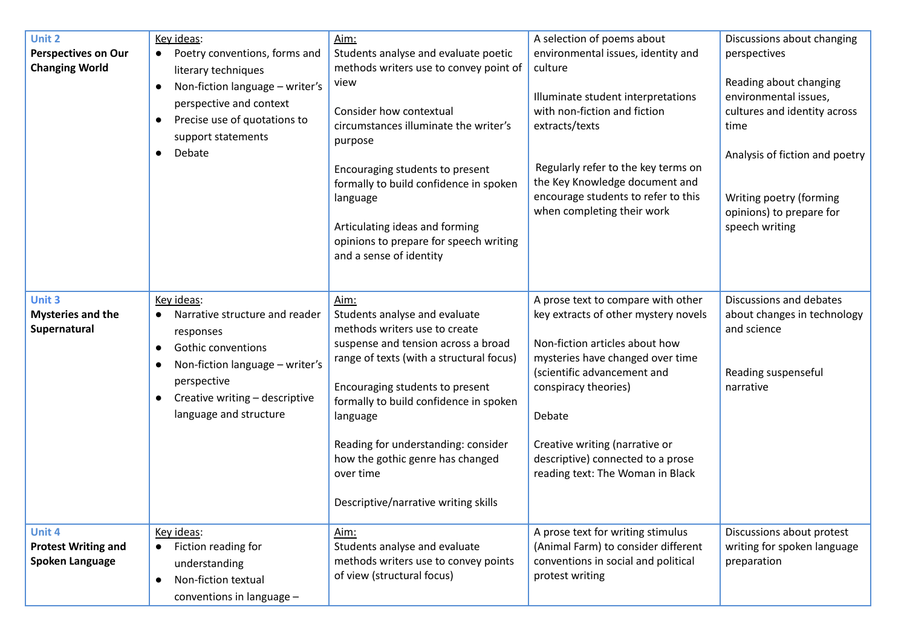| Unit 2<br><b>Perspectives on Our</b><br><b>Changing World</b>  | Key ideas:<br>Poetry conventions, forms and<br>$\bullet$<br>literary techniques<br>Non-fiction language - writer's<br>$\bullet$<br>perspective and context<br>Precise use of quotations to<br>$\bullet$<br>support statements<br>Debate<br>$\bullet$     | Aim:<br>Students analyse and evaluate poetic<br>methods writers use to convey point of<br>view<br>Consider how contextual<br>circumstances illuminate the writer's<br>purpose<br>Encouraging students to present<br>formally to build confidence in spoken<br>language<br>Articulating ideas and forming<br>opinions to prepare for speech writing<br>and a sense of identity      | A selection of poems about<br>environmental issues, identity and<br>culture<br>Illuminate student interpretations<br>with non-fiction and fiction<br>extracts/texts<br>Regularly refer to the key terms on<br>the Key Knowledge document and<br>encourage students to refer to this<br>when completing their work            | Discussions about changing<br>perspectives<br>Reading about changing<br>environmental issues,<br>cultures and identity across<br>time<br>Analysis of fiction and poetry<br>Writing poetry (forming<br>opinions) to prepare for<br>speech writing |
|----------------------------------------------------------------|----------------------------------------------------------------------------------------------------------------------------------------------------------------------------------------------------------------------------------------------------------|------------------------------------------------------------------------------------------------------------------------------------------------------------------------------------------------------------------------------------------------------------------------------------------------------------------------------------------------------------------------------------|------------------------------------------------------------------------------------------------------------------------------------------------------------------------------------------------------------------------------------------------------------------------------------------------------------------------------|--------------------------------------------------------------------------------------------------------------------------------------------------------------------------------------------------------------------------------------------------|
| Unit 3<br><b>Mysteries and the</b><br>Supernatural             | Key ideas:<br>Narrative structure and reader<br>$\bullet$<br>responses<br><b>Gothic conventions</b><br>$\bullet$<br>Non-fiction language - writer's<br>$\bullet$<br>perspective<br>Creative writing - descriptive<br>$\bullet$<br>language and structure | Aim:<br>Students analyse and evaluate<br>methods writers use to create<br>suspense and tension across a broad<br>range of texts (with a structural focus)<br>Encouraging students to present<br>formally to build confidence in spoken<br>language<br>Reading for understanding: consider<br>how the gothic genre has changed<br>over time<br>Descriptive/narrative writing skills | A prose text to compare with other<br>key extracts of other mystery novels<br>Non-fiction articles about how<br>mysteries have changed over time<br>(scientific advancement and<br>conspiracy theories)<br>Debate<br>Creative writing (narrative or<br>descriptive) connected to a prose<br>reading text: The Woman in Black | Discussions and debates<br>about changes in technology<br>and science<br>Reading suspenseful<br>narrative                                                                                                                                        |
| Unit 4<br><b>Protest Writing and</b><br><b>Spoken Language</b> | Key ideas:<br>• Fiction reading for<br>understanding<br>Non-fiction textual<br>$\bullet$<br>conventions in language -                                                                                                                                    | Aim:<br>Students analyse and evaluate<br>methods writers use to convey points<br>of view (structural focus)                                                                                                                                                                                                                                                                        | A prose text for writing stimulus<br>(Animal Farm) to consider different<br>conventions in social and political<br>protest writing                                                                                                                                                                                           | Discussions about protest<br>writing for spoken language<br>preparation                                                                                                                                                                          |